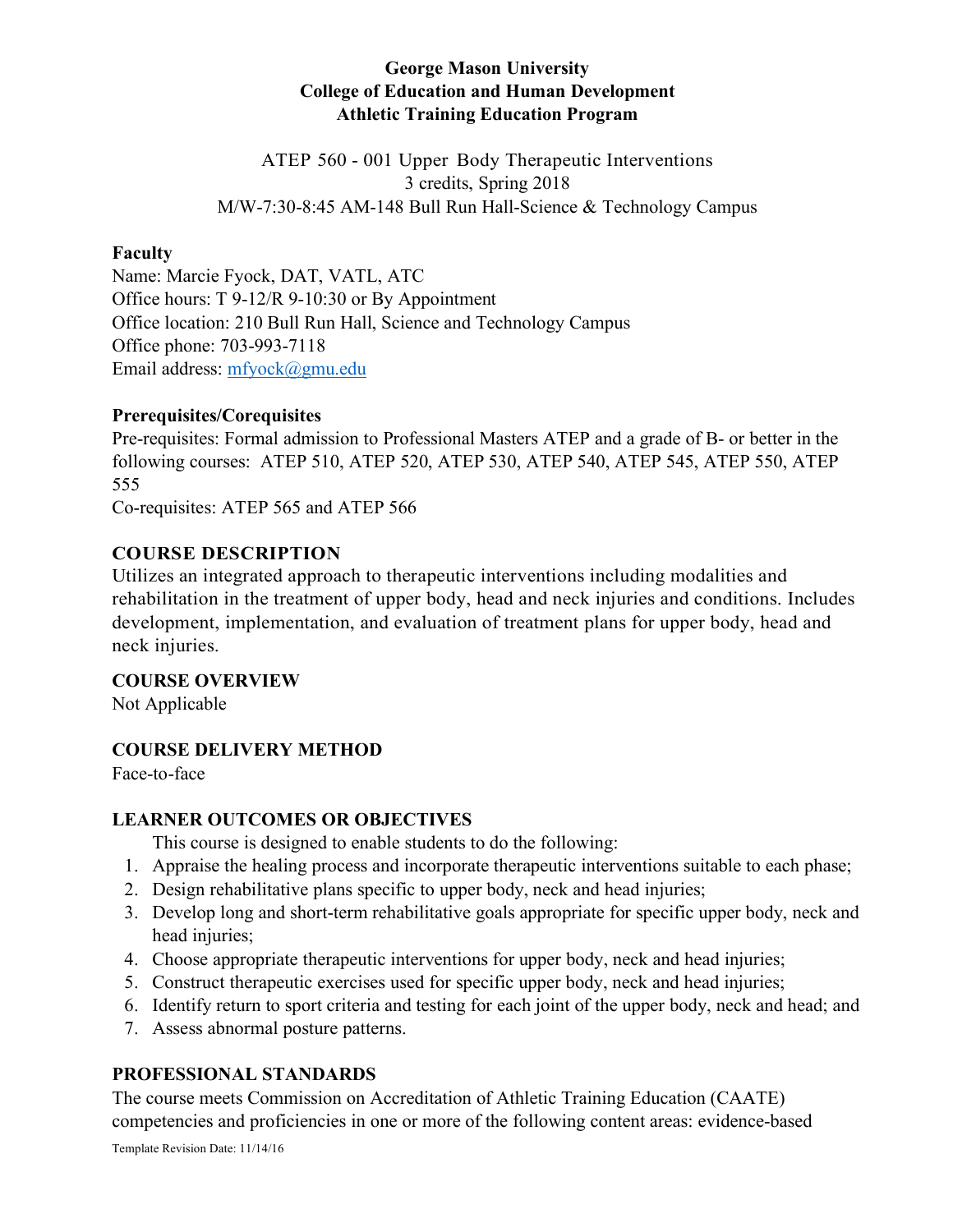# **George Mason University College of Education and Human Development Athletic Training Education Program**

ATEP 560 - 001 Upper Body Therapeutic Interventions 3 credits, Spring 2018 M/W-7:30-8:45 AM-148 Bull Run Hall-Science & Technology Campus

#### **Faculty**

Name: Marcie Fyock, DAT, VATL, ATC Office hours: T 9-12/R 9-10:30 or By Appointment Office location: 210 Bull Run Hall, Science and Technology Campus Office phone: 703-993-7118 Email address: mfyock@gmu.edu

#### **Prerequisites/Corequisites**

Pre-requisites: Formal admission to Professional Masters ATEP and a grade of B- or better in the following courses: ATEP 510, ATEP 520, ATEP 530, ATEP 540, ATEP 545, ATEP 550, ATEP 555

Co-requisites: ATEP 565 and ATEP 566

## **COURSE DESCRIPTION**

Utilizes an integrated approach to therapeutic interventions including modalities and rehabilitation in the treatment of upper body, head and neck injuries and conditions. Includes development, implementation, and evaluation of treatment plans for upper body, head and neck injuries.

#### **COURSE OVERVIEW**

Not Applicable

## **COURSE DELIVERY METHOD**

Face-to-face

## **LEARNER OUTCOMES OR OBJECTIVES**

This course is designed to enable students to do the following:

- 1. Appraise the healing process and incorporate therapeutic interventions suitable to each phase;
- 2. Design rehabilitative plans specific to upper body, neck and head injuries;
- 3. Develop long and short-term rehabilitative goals appropriate for specific upper body, neck and head injuries;
- 4. Choose appropriate therapeutic interventions for upper body, neck and head injuries;
- 5. Construct therapeutic exercises used for specific upper body, neck and head injuries;
- 6. Identify return to sport criteria and testing for each joint of the upper body, neck and head; and
- 7. Assess abnormal posture patterns.

## **PROFESSIONAL STANDARDS**

The course meets Commission on Accreditation of Athletic Training Education (CAATE) competencies and proficiencies in one or more of the following content areas: evidence-based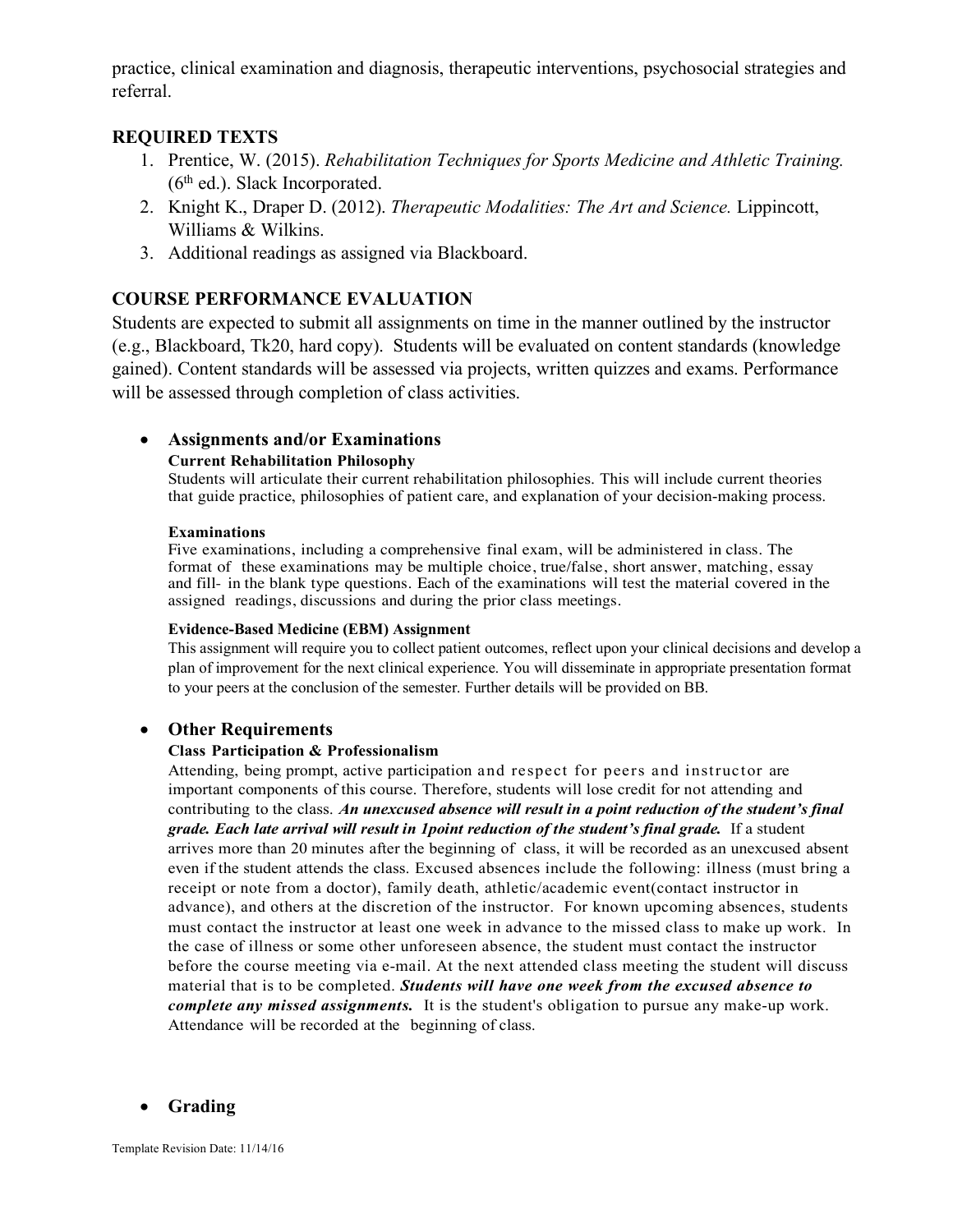practice, clinical examination and diagnosis, therapeutic interventions, psychosocial strategies and referral.

#### **REQUIRED TEXTS**

- 1. Prentice, W. (2015). *Rehabilitation Techniques for Sports Medicine and Athletic Training.*   $(6<sup>th</sup>$  ed.). Slack Incorporated.
- 2. Knight K., Draper D. (2012). *Therapeutic Modalities: The Art and Science.* Lippincott, Williams & Wilkins.
- 3. Additional readings as assigned via Blackboard.

#### **COURSE PERFORMANCE EVALUATION**

Students are expected to submit all assignments on time in the manner outlined by the instructor (e.g., Blackboard, Tk20, hard copy). Students will be evaluated on content standards (knowledge gained). Content standards will be assessed via projects, written quizzes and exams. Performance will be assessed through completion of class activities.

## • **Assignments and/or Examinations**

#### **Current Rehabilitation Philosophy**

Students will articulate their current rehabilitation philosophies. This will include current theories that guide practice, philosophies of patient care, and explanation of your decision-making process.

#### **Examinations**

Five examinations, including a comprehensive final exam, will be administered in class. The format of these examinations may be multiple choice, true/false, short answer, matching, essay and fill- in the blank type questions. Each of the examinations will test the material covered in the assigned readings, discussions and during the prior class meetings.

#### **Evidence-Based Medicine (EBM) Assignment**

This assignment will require you to collect patient outcomes, reflect upon your clinical decisions and develop a plan of improvement for the next clinical experience. You will disseminate in appropriate presentation format to your peers at the conclusion of the semester. Further details will be provided on BB.

#### • **Other Requirements**

#### **Class Participation & Professionalism**

Attending, being prompt, active participation and respect for peers and instructor are important components of this course. Therefore, students will lose credit for not attending and contributing to the class. *An unexcused absence will result in a point reduction of the student's final grade. Each late arrival will result in 1point reduction of the student's final grade.* If a student arrives more than 20 minutes after the beginning of class, it will be recorded as an unexcused absent even if the student attends the class. Excused absences include the following: illness (must bring a receipt or note from a doctor), family death, athletic/academic event(contact instructor in advance), and others at the discretion of the instructor. For known upcoming absences, students must contact the instructor at least one week in advance to the missed class to make up work. In the case of illness or some other unforeseen absence, the student must contact the instructor before the course meeting via e-mail. At the next attended class meeting the student will discuss material that is to be completed. *Students will have one week from the excused absence to complete any missed assignments.* It is the student's obligation to pursue any make-up work. Attendance will be recorded at the beginning of class.

#### • **Grading**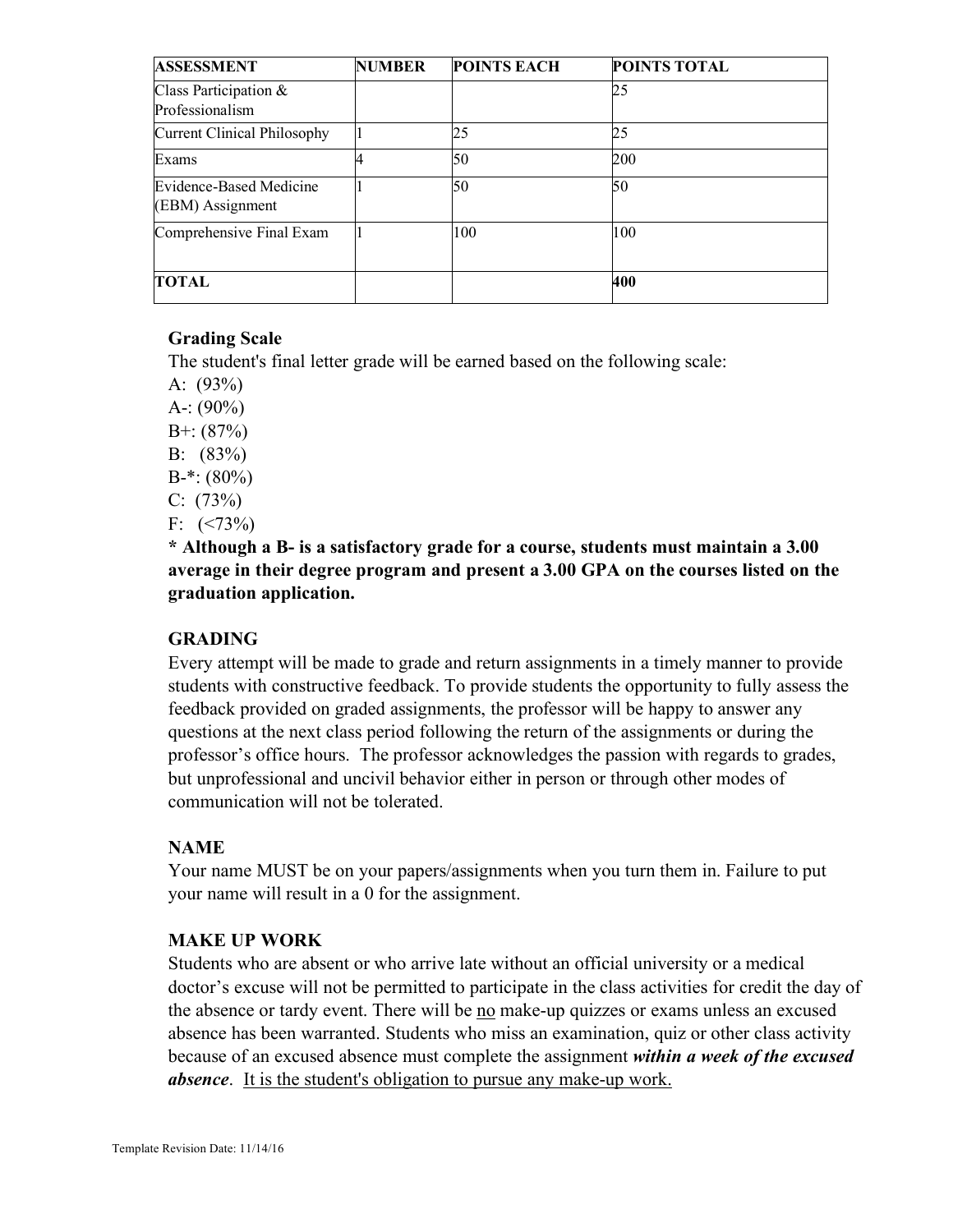| <b>ASSESSMENT</b>                           | <b>NUMBER</b> | <b>POINTS EACH</b> | POINTS TOTAL |
|---------------------------------------------|---------------|--------------------|--------------|
| Class Participation &<br>Professionalism    |               |                    | 25           |
| <b>Current Clinical Philosophy</b>          |               | 25                 | 25           |
| Exams                                       |               | 50                 | 200          |
| Evidence-Based Medicine<br>(EBM) Assignment |               | 50                 | 50           |
| Comprehensive Final Exam                    |               | 100                | 100          |
| <b>TOTAL</b>                                |               |                    | 400          |

## **Grading Scale**

The student's final letter grade will be earned based on the following scale:

A: (93%)

A-:  $(90\%)$ 

 $B^{+}$ : (87%)

B: (83%)

 $B-*$ : (80%)

 $C: (73%)$ 

F:  $(<73\%)$ 

**\* Although a B- is a satisfactory grade for a course, students must maintain a 3.00 average in their degree program and present a 3.00 GPA on the courses listed on the graduation application.**

## **GRADING**

Every attempt will be made to grade and return assignments in a timely manner to provide students with constructive feedback. To provide students the opportunity to fully assess the feedback provided on graded assignments, the professor will be happy to answer any questions at the next class period following the return of the assignments or during the professor's office hours. The professor acknowledges the passion with regards to grades, but unprofessional and uncivil behavior either in person or through other modes of communication will not be tolerated.

## **NAME**

Your name MUST be on your papers/assignments when you turn them in. Failure to put your name will result in a 0 for the assignment.

## **MAKE UP WORK**

Students who are absent or who arrive late without an official university or a medical doctor's excuse will not be permitted to participate in the class activities for credit the day of the absence or tardy event. There will be no make-up quizzes or exams unless an excused absence has been warranted. Students who miss an examination, quiz or other class activity because of an excused absence must complete the assignment *within a week of the excused absence*. It is the student's obligation to pursue any make-up work.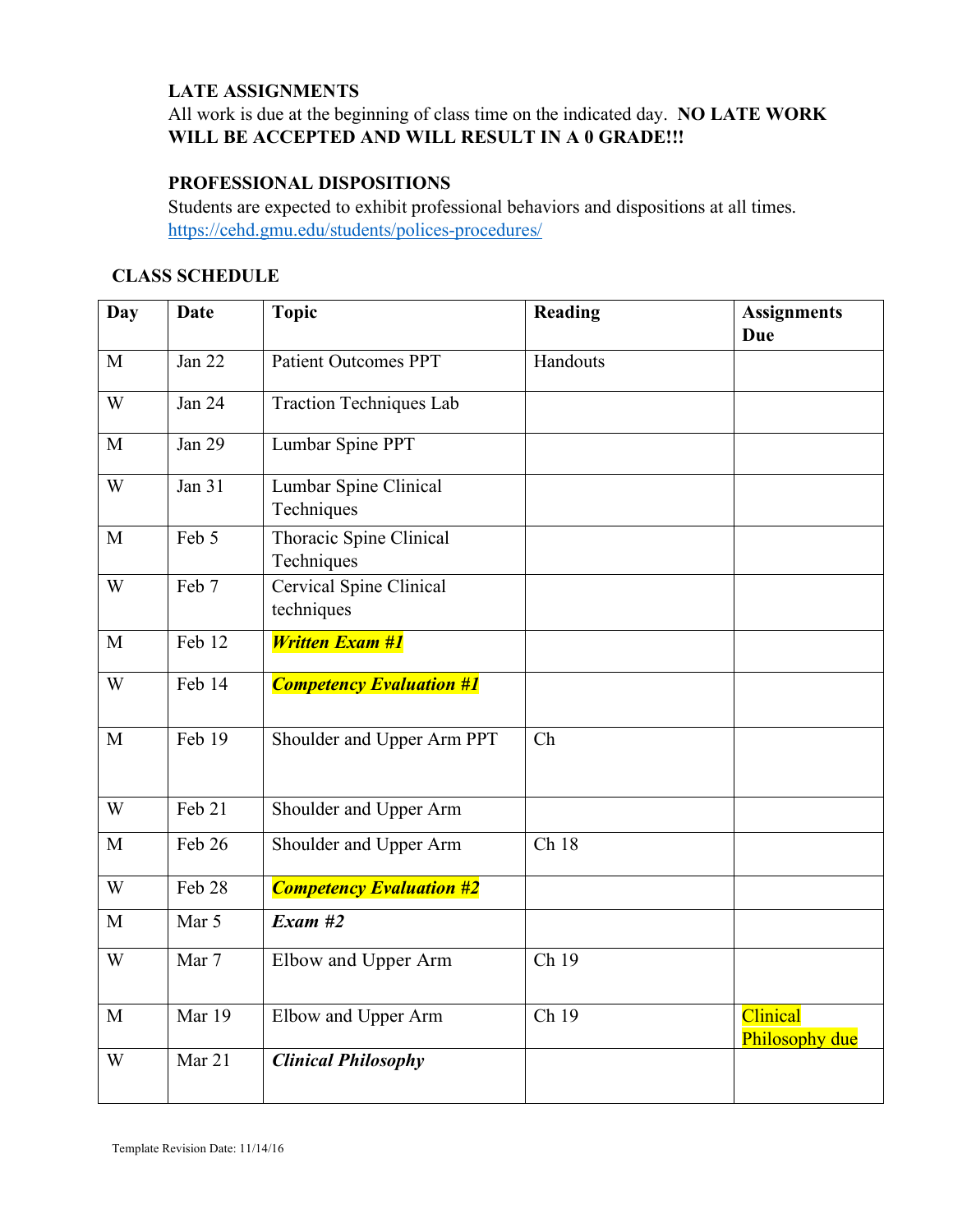# **LATE ASSIGNMENTS**

# All work is due at the beginning of class time on the indicated day. **NO LATE WORK**  WILL BE ACCEPTED AND WILL RESULT IN A 0 GRADE!!!

#### **PROFESSIONAL DISPOSITIONS**

Students are expected to exhibit professional behaviors and dispositions at all times. https://cehd.gmu.edu/students/polices-procedures/

# **CLASS SCHEDULE**

| Day          | <b>Date</b>   | <b>Topic</b>                          | Reading           | <b>Assignments</b>         |
|--------------|---------------|---------------------------------------|-------------------|----------------------------|
|              |               |                                       |                   | <b>Due</b>                 |
| M            | Jan 22        | <b>Patient Outcomes PPT</b>           | Handouts          |                            |
| W            | Jan 24        | <b>Traction Techniques Lab</b>        |                   |                            |
| M            | <b>Jan 29</b> | Lumbar Spine PPT                      |                   |                            |
| W            | Jan $31$      | Lumbar Spine Clinical<br>Techniques   |                   |                            |
| M            | Feb 5         | Thoracic Spine Clinical<br>Techniques |                   |                            |
| W            | Feb 7         | Cervical Spine Clinical<br>techniques |                   |                            |
| M            | Feb 12        | <b>Written Exam #1</b>                |                   |                            |
| W            | Feb 14        | <b>Competency Evaluation #1</b>       |                   |                            |
| $\mathbf{M}$ | Feb 19        | Shoulder and Upper Arm PPT            | Ch                |                            |
| W            | Feb 21        | Shoulder and Upper Arm                |                   |                            |
| M            | Feb 26        | Shoulder and Upper Arm                | Ch 18             |                            |
| W            | Feb 28        | <b>Competency Evaluation #2</b>       |                   |                            |
| $\mathbf{M}$ | Mar 5         | $Exam$ #2                             |                   |                            |
| W            | Mar 7         | Elbow and Upper Arm                   | $\overline{Ch19}$ |                            |
| $\mathbf{M}$ | Mar 19        | Elbow and Upper Arm                   | Ch 19             | Clinical<br>Philosophy due |
| W            | Mar 21        | <b>Clinical Philosophy</b>            |                   |                            |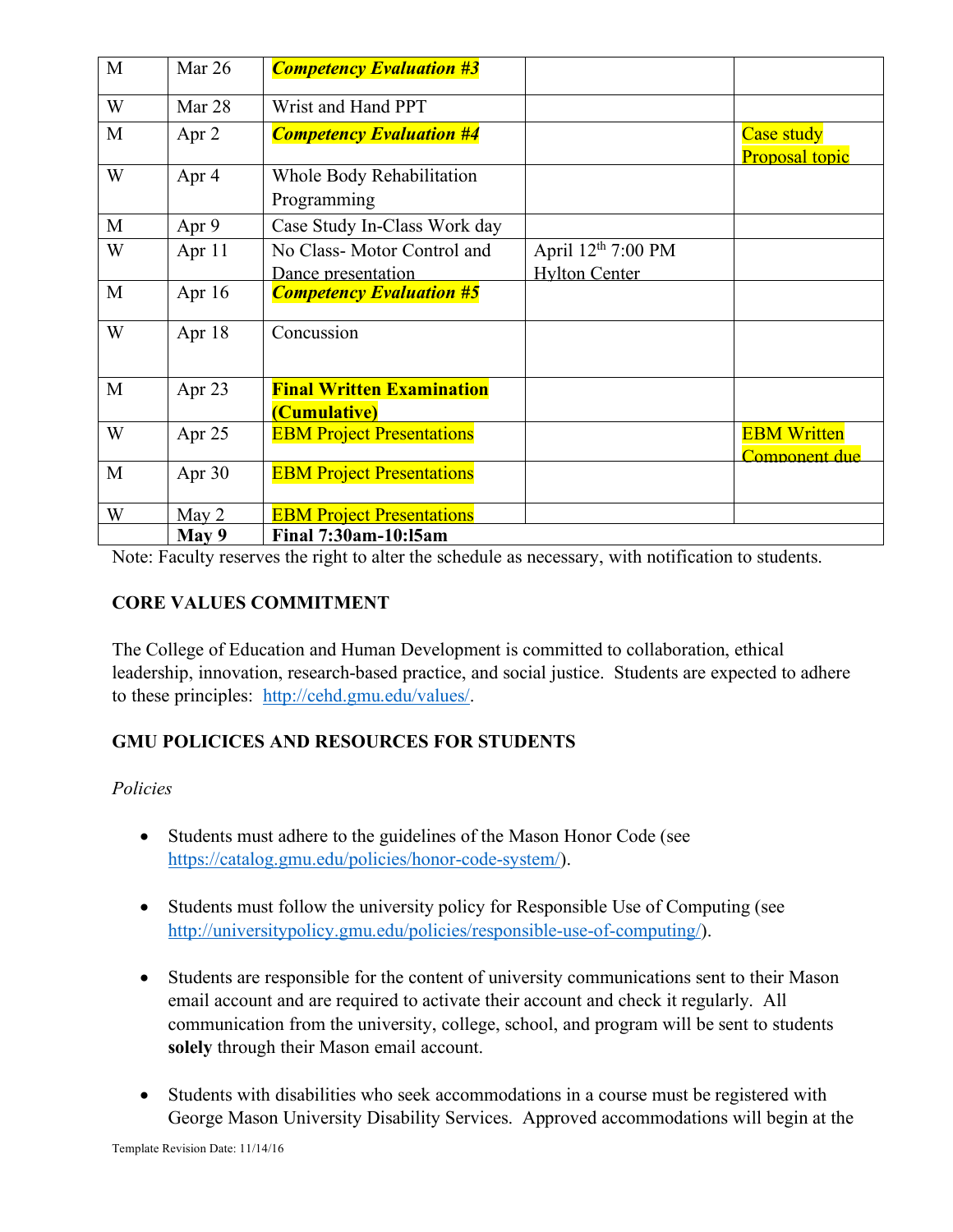| M | Mar 26   | <b>Competency Evaluation #3</b>                  |                                              |                                     |
|---|----------|--------------------------------------------------|----------------------------------------------|-------------------------------------|
| W | Mar 28   | Wrist and Hand PPT                               |                                              |                                     |
| M | Apr 2    | <b>Competency Evaluation #4</b>                  |                                              | Case study<br><b>Proposal topic</b> |
| W | Apr 4    | Whole Body Rehabilitation<br>Programming         |                                              |                                     |
| M | Apr 9    | Case Study In-Class Work day                     |                                              |                                     |
| W | Apr 11   | No Class-Motor Control and<br>Dance presentation | April $12th$ 7:00 PM<br><b>Hylton Center</b> |                                     |
| M | Apr $16$ | <b>Competency Evaluation #5</b>                  |                                              |                                     |
| W | Apr 18   | Concussion                                       |                                              |                                     |
| M | Apr 23   | <b>Final Written Examination</b><br>(Cumulative) |                                              |                                     |
| W | Apr 25   | <b>EBM Project Presentations</b>                 |                                              | <b>EBM Written</b><br>Component due |
| M | Apr 30   | <b>EBM Project Presentations</b>                 |                                              |                                     |
| W | May 2    | <b>EBM Project Presentations</b>                 |                                              |                                     |
|   | May 9    | <b>Final 7:30am-10:15am</b>                      |                                              |                                     |

Note: Faculty reserves the right to alter the schedule as necessary, with notification to students.

# **CORE VALUES COMMITMENT**

The College of Education and Human Development is committed to collaboration, ethical leadership, innovation, research-based practice, and social justice. Students are expected to adhere to these principles: http://cehd.gmu.edu/values/.

# **GMU POLICICES AND RESOURCES FOR STUDENTS**

#### *Policies*

- Students must adhere to the guidelines of the Mason Honor Code (see https://catalog.gmu.edu/policies/honor-code-system/).
- Students must follow the university policy for Responsible Use of Computing (see http://universitypolicy.gmu.edu/policies/responsible-use-of-computing/).
- Students are responsible for the content of university communications sent to their Mason email account and are required to activate their account and check it regularly. All communication from the university, college, school, and program will be sent to students **solely** through their Mason email account.
- Students with disabilities who seek accommodations in a course must be registered with George Mason University Disability Services. Approved accommodations will begin at the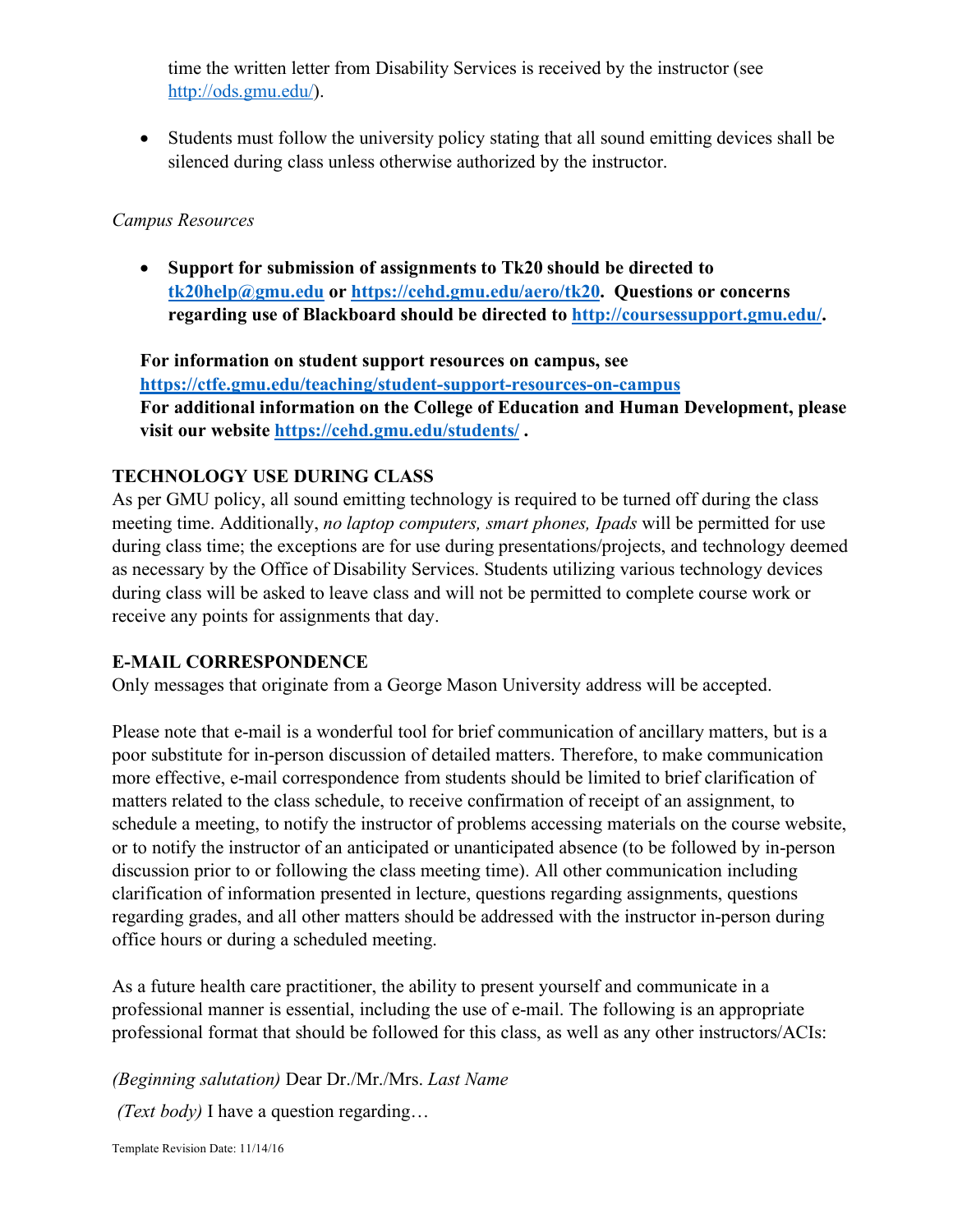time the written letter from Disability Services is received by the instructor (see http://ods.gmu.edu/).

• Students must follow the university policy stating that all sound emitting devices shall be silenced during class unless otherwise authorized by the instructor.

#### *Campus Resources*

• **Support for submission of assignments to Tk20 should be directed to tk20help@gmu.edu or https://cehd.gmu.edu/aero/tk20. Questions or concerns regarding use of Blackboard should be directed to http://coursessupport.gmu.edu/.** 

**For information on student support resources on campus, see https://ctfe.gmu.edu/teaching/student-support-resources-on-campus For additional information on the College of Education and Human Development, please visit our website https://cehd.gmu.edu/students/ .**

## **TECHNOLOGY USE DURING CLASS**

As per GMU policy, all sound emitting technology is required to be turned off during the class meeting time. Additionally, *no laptop computers, smart phones, Ipads* will be permitted for use during class time; the exceptions are for use during presentations/projects, and technology deemed as necessary by the Office of Disability Services. Students utilizing various technology devices during class will be asked to leave class and will not be permitted to complete course work or receive any points for assignments that day.

## **E-MAIL CORRESPONDENCE**

Only messages that originate from a George Mason University address will be accepted.

Please note that e-mail is a wonderful tool for brief communication of ancillary matters, but is a poor substitute for in-person discussion of detailed matters. Therefore, to make communication more effective, e-mail correspondence from students should be limited to brief clarification of matters related to the class schedule, to receive confirmation of receipt of an assignment, to schedule a meeting, to notify the instructor of problems accessing materials on the course website, or to notify the instructor of an anticipated or unanticipated absence (to be followed by in-person discussion prior to or following the class meeting time). All other communication including clarification of information presented in lecture, questions regarding assignments, questions regarding grades, and all other matters should be addressed with the instructor in-person during office hours or during a scheduled meeting.

As a future health care practitioner, the ability to present yourself and communicate in a professional manner is essential, including the use of e-mail. The following is an appropriate professional format that should be followed for this class, as well as any other instructors/ACIs:

*(Beginning salutation)* Dear Dr./Mr./Mrs. *Last Name*

*(Text body)* I have a question regarding…